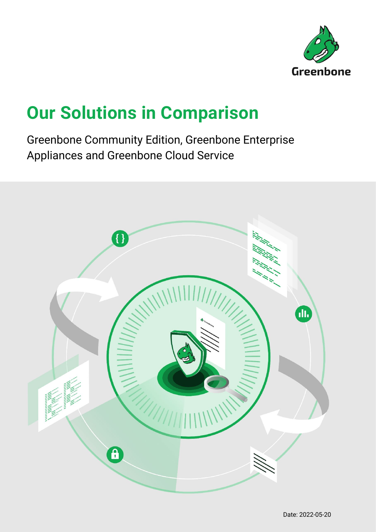

# **Our Solutions in Comparison**

Greenbone Community Edition, Greenbone Enterprise Appliances and Greenbone Cloud Service

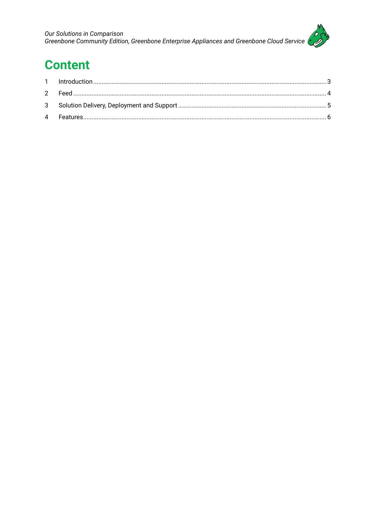

## **Content**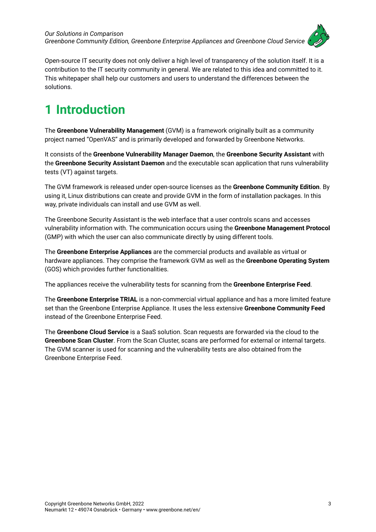

Open-source IT security does not only deliver a high level of transparency of the solution itself. It is a contribution to the IT security community in general. We are related to this idea and committed to it. This whitepaper shall help our customers and users to understand the differences between the solutions.

### <span id="page-2-0"></span>**1 Introduction**

The **Greenbone Vulnerability Management** (GVM) is a framework originally built as a community project named "OpenVAS" and is primarily developed and forwarded by Greenbone Networks.

It consists of the **Greenbone Vulnerability Manager Daemon**, the **Greenbone Security Assistant** with the **Greenbone Security Assistant Daemon** and the executable scan application that runs vulnerability tests (VT) against targets.

The GVM framework is released under open-source licenses as the **Greenbone Community Edition**. By using it, Linux distributions can create and provide GVM in the form of installation packages. In this way, private individuals can install and use GVM as well.

The Greenbone Security Assistant is the web interface that a user controls scans and accesses vulnerability information with. The communication occurs using the **Greenbone Management Protocol**  (GMP) with which the user can also communicate directly by using different tools.

The **Greenbone Enterprise Appliances** are the commercial products and available as virtual or hardware appliances. They comprise the framework GVM as well as the **Greenbone Operating System** (GOS) which provides further functionalities.

The appliances receive the vulnerability tests for scanning from the **Greenbone Enterprise Feed**.

The **Greenbone Enterprise TRIAL** is a non-commercial virtual appliance and has a more limited feature set than the Greenbone Enterprise Appliance. It uses the less extensive **Greenbone Community Feed** instead of the Greenbone Enterprise Feed.

The **Greenbone Cloud Service** is a SaaS solution. Scan requests are forwarded via the cloud to the **Greenbone Scan Cluster**. From the Scan Cluster, scans are performed for external or internal targets. The GVM scanner is used for scanning and the vulnerability tests are also obtained from the Greenbone Enterprise Feed.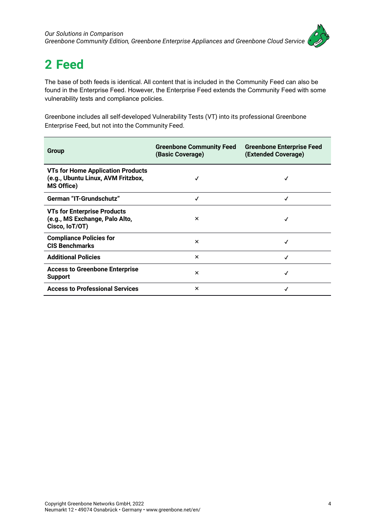

## <span id="page-3-0"></span>**2 Feed**

The base of both feeds is identical. All content that is included in the Community Feed can also be found in the Enterprise Feed. However, the Enterprise Feed extends the Community Feed with some vulnerability tests and compliance policies.

Greenbone includes all self-developed Vulnerability Tests (VT) into its professional Greenbone Enterprise Feed, but not into the Community Feed.

| Group                                                                                               | <b>Greenbone Community Feed</b><br>(Basic Coverage) | <b>Greenbone Enterprise Feed</b><br>(Extended Coverage) |
|-----------------------------------------------------------------------------------------------------|-----------------------------------------------------|---------------------------------------------------------|
| <b>VTs for Home Application Products</b><br>(e.g., Ubuntu Linux, AVM Fritzbox,<br><b>MS Office)</b> |                                                     |                                                         |
| <b>German "IT-Grundschutz"</b>                                                                      | √                                                   | ✓                                                       |
| <b>VTs for Enterprise Products</b><br>(e.g., MS Exchange, Palo Alto,<br>Cisco, IoT/OT)              | $\times$                                            | √                                                       |
| <b>Compliance Policies for</b><br><b>CIS Benchmarks</b>                                             | $\times$                                            |                                                         |
| <b>Additional Policies</b>                                                                          | $\times$                                            | √                                                       |
| <b>Access to Greenbone Enterprise</b><br><b>Support</b>                                             | $\boldsymbol{\mathsf{x}}$                           | √                                                       |
| <b>Access to Professional Services</b>                                                              | ×                                                   | √                                                       |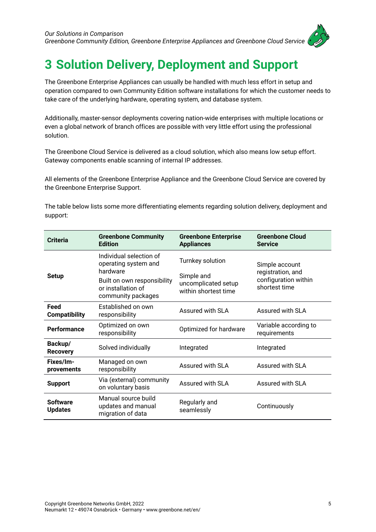

#### <span id="page-4-0"></span>**3 Solution Delivery, Deployment and Support**

The Greenbone Enterprise Appliances can usually be handled with much less effort in setup and operation compared to own Community Edition software installations for which the customer needs to take care of the underlying hardware, operating system, and database system.

Additionally, master-sensor deployments covering nation-wide enterprises with multiple locations or even a global network of branch offices are possible with very little effort using the professional solution.

The Greenbone Cloud Service is delivered as a cloud solution, which also means low setup effort. Gateway components enable scanning of internal IP addresses.

All elements of the Greenbone Enterprise Appliance and the Greenbone Cloud Service are covered by the Greenbone Enterprise Support.

The table below lists some more differentiating elements regarding solution delivery, deployment and support:

| <b>Criteria</b>                   | <b>Greenbone Community</b><br><b>Edition</b>                                                                                           | <b>Greenbone Enterprise</b><br><b>Appliances</b>                              | <b>Greenbone Cloud</b><br><b>Service</b>                                     |
|-----------------------------------|----------------------------------------------------------------------------------------------------------------------------------------|-------------------------------------------------------------------------------|------------------------------------------------------------------------------|
| <b>Setup</b>                      | Individual selection of<br>operating system and<br>hardware<br>Built on own responsibility<br>or installation of<br>community packages | Turnkey solution<br>Simple and<br>uncomplicated setup<br>within shortest time | Simple account<br>registration, and<br>configuration within<br>shortest time |
| Feed<br><b>Compatibility</b>      | Established on own<br>responsibility                                                                                                   | Assured with SLA                                                              | Assured with SLA                                                             |
| <b>Performance</b>                | Optimized on own<br>responsibility                                                                                                     | Optimized for hardware                                                        | Variable according to<br>requirements                                        |
| Backup/<br><b>Recovery</b>        | Solved individually                                                                                                                    | Integrated                                                                    | Integrated                                                                   |
| Fixes/Im-<br>provements           | Managed on own<br>responsibility                                                                                                       | Assured with SLA                                                              | Assured with SLA                                                             |
| <b>Support</b>                    | Via (external) community<br>on voluntary basis                                                                                         | Assured with SLA                                                              | Assured with SLA                                                             |
| <b>Software</b><br><b>Updates</b> | Manual source build<br>updates and manual<br>migration of data                                                                         | Regularly and<br>seamlessly                                                   | Continuously                                                                 |